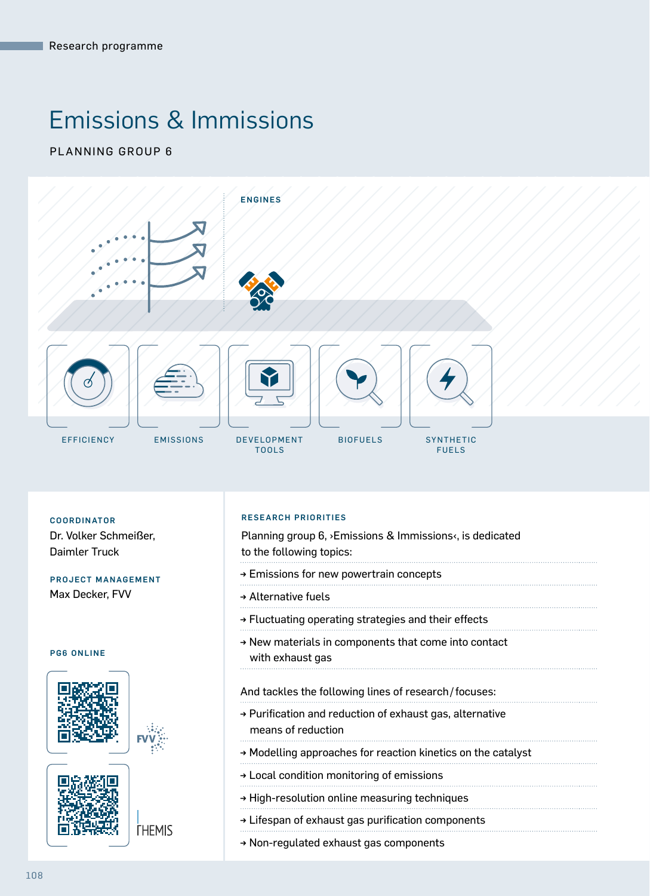# Emissions & Immissions

PLANNING GROUP 6



Dr. Volker Schmeißer, Daimler Truck

#### PROJECT MANAGEMENT Max Decker, FVV

#### PG6 ONLINE





**THEMIS** 

#### RESEARCH PRIORITIES COORDINATOR

Planning group 6, ›Emissions & Immissions‹, is dedicated to the following topics:

- → Emissions for new powertrain concepts
- → Alternative fuels
- → Fluctuating operating strategies and their effects
- → New materials in components that come into contact with exhaust gas

#### And tackles the following lines of research/focuses:

- → Purification and reduction of exhaust gas, alternative means of reduction
- → Modelling approaches for reaction kinetics on the catalyst
- → Local condition monitoring of emissions
- → High-resolution online measuring techniques
- → Lifespan of exhaust gas purification components
- → Non-regulated exhaust gas components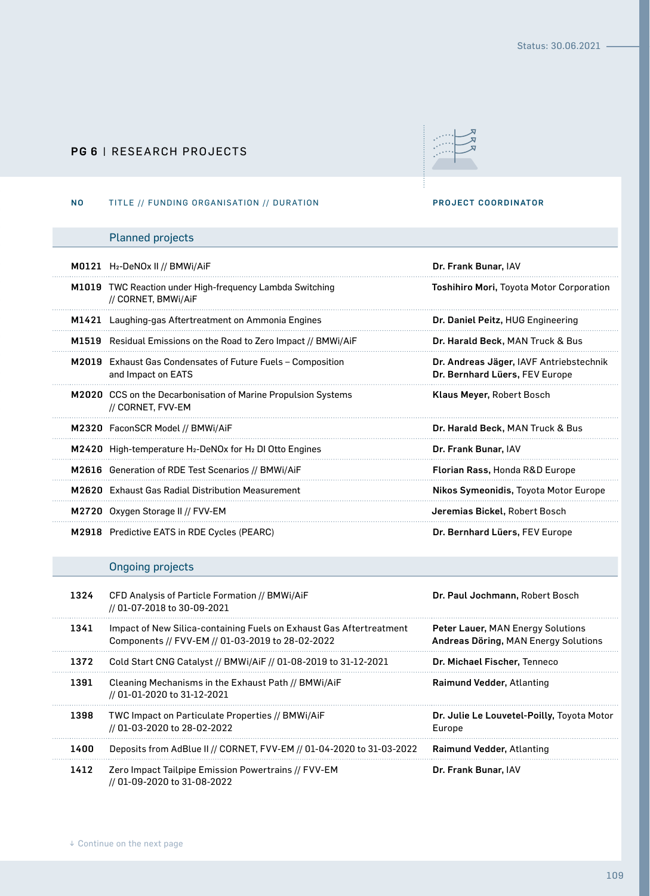### PG 6 | RESEARCH PROJECTS



#### NO TITLE // FUNDING ORGANISATION // DURATION PROJECT COORDINATOR

## Planned projects

| M0121 H <sub>2</sub> -DeNOx II // BMWi/AiF                                             | Dr. Frank Bunar, IAV                                                      |
|----------------------------------------------------------------------------------------|---------------------------------------------------------------------------|
| <b>M1019</b> TWC Reaction under High-frequency Lambda Switching<br>// CORNET, BMWI/AIF | <b>Toshihiro Mori, Toyota Motor Corporation</b>                           |
| M1421 Laughing-gas Aftertreatment on Ammonia Engines                                   | Dr. Daniel Peitz, HUG Engineering                                         |
| M1519 Residual Emissions on the Road to Zero Impact // BMWi/AiF                        | Dr. Harald Beck, MAN Truck & Bus                                          |
| M2019 Exhaust Gas Condensates of Future Fuels – Composition<br>and Impact on EATS      | Dr. Andreas Jäger, IAVF Antriebstechnik<br>Dr. Bernhard Lüers, FEV Europe |
| M2020 CCS on the Decarbonisation of Marine Propulsion Systems<br>// CORNET, FVV-EM     | Klaus Meyer, Robert Bosch                                                 |
| M2320 FaconSCR Model // BMWi/AiF                                                       | Dr. Harald Beck, MAN Truck & Bus                                          |
| M2420 High-temperature H <sub>2</sub> -DeNOx for H <sub>2</sub> DI Otto Engines        | Dr. Frank Bunar, IAV                                                      |
| M2616 Generation of RDE Test Scenarios // BMWi/AiF                                     | <b>Florian Rass, Honda R&amp;D Europe</b>                                 |
| M2620 Exhaust Gas Radial Distribution Measurement                                      | Nikos Symeonidis, Toyota Motor Europe                                     |
| M2720 Oxygen Storage II // FVV-EM                                                      | Jeremias Bickel, Robert Bosch                                             |
| <b>M2918</b> Predictive EATS in RDE Cycles (PEARC)                                     | Dr. Bernhard Lüers, FEV Europe                                            |

## Ongoing projects

| 1324 | CFD Analysis of Particle Formation // BMWi/AiF<br>// 01-07-2018 to 30-09-2021                                           | Dr. Paul Jochmann, Robert Bosch                                           |
|------|-------------------------------------------------------------------------------------------------------------------------|---------------------------------------------------------------------------|
| 1341 | Impact of New Silica-containing Fuels on Exhaust Gas Aftertreatment<br>Components // FVV-EM // 01-03-2019 to 28-02-2022 | Peter Lauer, MAN Energy Solutions<br>Andreas Döring, MAN Energy Solutions |
| 1372 | Cold Start CNG Catalyst // BMWi/AiF // 01-08-2019 to 31-12-2021                                                         | Dr. Michael Fischer, Tenneco                                              |
| 1391 | Cleaning Mechanisms in the Exhaust Path // BMWi/AiF<br>// 01-01-2020 to 31-12-2021                                      | Raimund Vedder, Atlanting                                                 |
| 1398 | TWC Impact on Particulate Properties // BMWi/AiF<br>// 01-03-2020 to 28-02-2022                                         | Dr. Julie Le Louvetel-Poilly, Toyota Motor<br>Europe                      |
| 1400 | Deposits from AdBlue II // CORNET, FVV-EM // 01-04-2020 to 31-03-2022                                                   | Raimund Vedder, Atlanting                                                 |
| 1412 | Zero Impact Tailpipe Emission Powertrains // FVV-EM<br>// 01-09-2020 to 31-08-2022                                      | Dr. Frank Bunar, IAV                                                      |